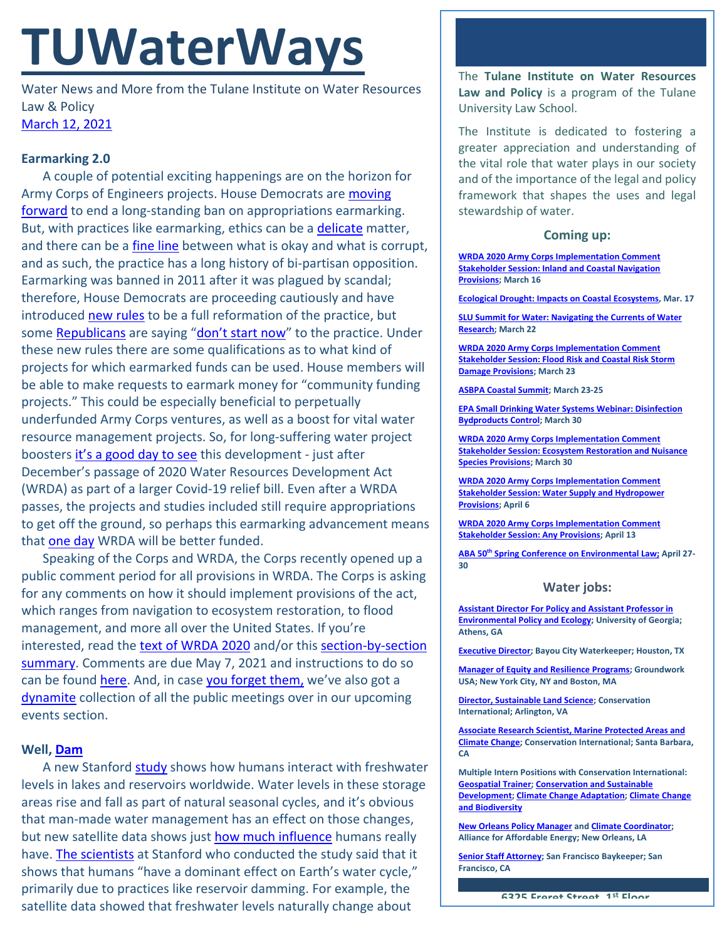# **TUWaterWays**

Water News and More from the Tulane Institute on Water Resources Law & Policy [March 12, 2021](https://thisdayinwaterhistory.wordpress.com/)

## **Earmarking 2.0**

A couple of potential exciting happenings are on the horizon for Army Corps of Engineers projects. House Democrats are moving [forward](https://www.rollcall.com/2021/02/26/house-appropriators-to-cap-earmarks-at-1-percent-of-topline/) to end a long-standing ban on appropriations earmarking. But, with practices like earmarking, ethics can be a [delicate](https://www.youtube.com/watch?v=tCXGJQYZ9JA) matter, and there can be a *fine line* between what is okay and what is corrupt, and as such, the practice has a long history of bi-partisan opposition. Earmarking was banned in 2011 after it was plagued by scandal; therefore, House Democrats are proceeding cautiously and have introduced [new rules](https://appropriations.house.gov/sites/democrats.appropriations.house.gov/files/documents/Community%20Project%20Funding%20-%20Fact%20Sheet%20on%20Reforms_0.pdf) to be a full reformation of the practice, but some [Republicans](https://gazette.com/colorado_politics/earmarks-are-back-republicans-have-a-dilemma-over-the-pork-barrel/article_5d66728d-2862-516f-a96c-229f570d3368.html) are saying ["don't start now"](https://www.youtube.com/watch?v=oygrmJFKYZY) to the practice. Under these new rules there are some qualifications as to what kind of projects for which earmarked funds can be used. House members will be able to make requests to earmark money for "community funding projects." This could be especially beneficial to perpetually underfunded Army Corps ventures, as well as a boost for vital water resource management projects. So, for long-suffering water project boosters [it's a good day to see](https://www.youtube.com/watch?v=2EntxPIULUI) this development - just after December's passage of 2020 Water Resources Development Act (WRDA) as part of a larger Covid-19 relief bill. Even after a WRDA passes, the projects and studies included still require appropriations to get off the ground, so perhaps this earmarking advancement means that [one day](https://www.youtube.com/watch?v=BjhW3vBA1QU) WRDA will be better funded.

Speaking of the Corps and WRDA, the Corps recently opened up a public comment period for all provisions in WRDA. The Corps is asking for any comments on how it should implement provisions of the act, which ranges from navigation to ecosystem restoration, to flood management, and more all over the United States. If you're interested, read the [text of WRDA 2020](https://transportation.house.gov/imo/media/doc/Pages%20from%20BILLS-116HR133SA-RCP-116-68_WRDA2020.pdf) and/or this [section-by-section](https://transportation.house.gov/imo/media/doc/2020-12-04%20-%20Conference%20Report%20WRDA%20Section%20by%20Section_Subcommittee%20FINAL.pdf)  [summary.](https://transportation.house.gov/imo/media/doc/2020-12-04%20-%20Conference%20Report%20WRDA%20Section%20by%20Section_Subcommittee%20FINAL.pdf) Comments are due May 7, 2021 and instructions to do so can be found [here.](https://www.federalregister.gov/documents/2021/03/08/2021-04659/water-resources-development-act-of-2020-comment-period-and-stakeholder-sessions) And, in case [you forget them,](https://www.youtube.com/watch?v=8TsWkuWWXgc) we've also got a [dynamite](https://www.youtube.com/watch?v=gdZLi9oWNZg) collection of all the public meetings over in our upcoming events section.

## **Well, [Dam](https://giphy.com/gifs/season-11-the-simpsons-11x14-3orieX2pHV4IOfP1bW)**

A new Stanford [study](https://www.nature.com/articles/s41586-021-03262-3) shows how humans interact with freshwater levels in lakes and reservoirs worldwide. Water levels in these storage areas rise and fall as part of natural seasonal cycles, and it's obvious that man-made water management has an effect on those changes, but new satellite data shows jus[t how much influence](https://news.stanford.edu/2021/03/03/much-humans-influence-earths-water-levels/) humans really have. [The scientists](https://www.youtube.com/watch?v=RB-RcX5DS5A) at Stanford who conducted the study said that it shows that humans "have a dominant effect on Earth's water cycle," primarily due to practices like reservoir damming. For example, the satellite data showed that freshwater levels naturally change about

The **Tulane Institute on Water Resources Law and Policy** is a program of the Tulane University Law School.

The Institute is dedicated to fostering a greater appreciation and understanding of the vital role that water plays in our society and of the importance of the legal and policy framework that shapes the uses and legal stewardship of water.

#### **Coming up:**

**[WRDA 2020 Army Corps Implementation Comment](https://www.federalregister.gov/documents/2021/03/08/2021-04659/water-resources-development-act-of-2020-comment-period-and-stakeholder-sessions)  [Stakeholder Session: Inland and Coastal Navigation](https://www.federalregister.gov/documents/2021/03/08/2021-04659/water-resources-development-act-of-2020-comment-period-and-stakeholder-sessions)  [Provisions;](https://www.federalregister.gov/documents/2021/03/08/2021-04659/water-resources-development-act-of-2020-comment-period-and-stakeholder-sessions) March 16**

**[Ecological Drought: Impacts on Coastal Ecosystems,](https://www.usgs.gov/center-news/ecological-drought-national-webinar-series) Mar. 17**

**[SLU Summit for Water: Navigating the Currents of Water](https://www.eventbrite.com/e/2021-slu-summit-for-water-navigating-the-currents-of-water-research-tickets-143849588993?utm_source=Master+Audience&utm_campaign=caf431cc1a-EMAIL_CAMPAIGN_2020_08_13_10_36_COPY_02&utm_medium=email&utm_term=0_2285bad6f7-caf431cc1a-422014397)  [Research;](https://www.eventbrite.com/e/2021-slu-summit-for-water-navigating-the-currents-of-water-research-tickets-143849588993?utm_source=Master+Audience&utm_campaign=caf431cc1a-EMAIL_CAMPAIGN_2020_08_13_10_36_COPY_02&utm_medium=email&utm_term=0_2285bad6f7-caf431cc1a-422014397) March 22**

**[WRDA 2020 Army Corps Implementation Comment](https://www.federalregister.gov/documents/2021/03/08/2021-04659/water-resources-development-act-of-2020-comment-period-and-stakeholder-sessions)  [Stakeholder Session: Flood Risk and Coastal Risk Storm](https://www.federalregister.gov/documents/2021/03/08/2021-04659/water-resources-development-act-of-2020-comment-period-and-stakeholder-sessions) [Damage Provisions;](https://www.federalregister.gov/documents/2021/03/08/2021-04659/water-resources-development-act-of-2020-comment-period-and-stakeholder-sessions) March 23**

**[ASBPA Coastal Summit;](https://asbpa.org/conferences/) March 23-25**

**[EPA Small Drinking Water Systems Webinar: Disinfection](https://www.epa.gov/water-research/small-drinking-water-systems-webinar-series)  [Bydproducts Control;](https://www.epa.gov/water-research/small-drinking-water-systems-webinar-series) March 30**

**[WRDA 2020 Army Corps Implementation Comment](https://www.federalregister.gov/documents/2021/03/08/2021-04659/water-resources-development-act-of-2020-comment-period-and-stakeholder-sessions)  [Stakeholder Session: Ecosystem Restoration and Nuisance](https://www.federalregister.gov/documents/2021/03/08/2021-04659/water-resources-development-act-of-2020-comment-period-and-stakeholder-sessions)  [Species Provisions;](https://www.federalregister.gov/documents/2021/03/08/2021-04659/water-resources-development-act-of-2020-comment-period-and-stakeholder-sessions) March 30**

**[WRDA 2020 Army Corps Implementation Comment](https://www.federalregister.gov/documents/2021/03/08/2021-04659/water-resources-development-act-of-2020-comment-period-and-stakeholder-sessions)  Stakeholder Session: [Water Supply and Hydropower](https://www.federalregister.gov/documents/2021/03/08/2021-04659/water-resources-development-act-of-2020-comment-period-and-stakeholder-sessions)  [Provisions;](https://www.federalregister.gov/documents/2021/03/08/2021-04659/water-resources-development-act-of-2020-comment-period-and-stakeholder-sessions) April 6**

**[WRDA 2020 Army Corps Implementation Comment](https://www.federalregister.gov/documents/2021/03/08/2021-04659/water-resources-development-act-of-2020-comment-period-and-stakeholder-sessions)  [Stakeholder Session: Any Provisions;](https://www.federalregister.gov/documents/2021/03/08/2021-04659/water-resources-development-act-of-2020-comment-period-and-stakeholder-sessions) April 13**

**ABA 50th [Spring Conference on Environmental Law;](https://www.americanbar.org/groups/environment_energy_resources/events_cle/50th-spring-conference/) April 27- 30**

#### **Water jobs:**

**[Assistant Director For Policy and Assistant Professor in](https://www.ecology.uga.edu/assistant-professor-in-environmental-policy-and-ecology/)  [Environmental Policy and Ecology;](https://www.ecology.uga.edu/assistant-professor-in-environmental-policy-and-ecology/) University of Georgia; Athens, GA**

**[Executive Director;](https://bayoucitywaterkeeper.org/wp-content/uploads/2021/03/FINAL-BCWK-Executive-Director-Job-Description.pdf) Bayou City Waterkeeper; Houston, TX**

**[Manager of Equity and Resilience Programs;](https://groundworkusa.org/careers/) Groundwork USA; New York City, NY and Boston, MA**

**[Director, Sustainable Land Science;](https://phh.tbe.taleo.net/phh04/ats/careers/v2/viewRequisition?org=CONSERVATION&cws=39&rid=1439) Conservation International; Arlington, VA**

**[Associate Research Scientist, Marine Protected Areas and](https://phh.tbe.taleo.net/phh04/ats/careers/v2/viewRequisition?org=CONSERVATION&cws=39&rid=1440)  [Climate Change;](https://phh.tbe.taleo.net/phh04/ats/careers/v2/viewRequisition?org=CONSERVATION&cws=39&rid=1440) Conservation International; Santa Barbara, CA** 

**Multiple Intern Positions with Conservation International: [Geospatial Trainer;](https://phh.tbe.taleo.net/phh04/ats/careers/v2/viewRequisition?org=CONSERVATION&cws=39&rid=1448) [Conservation and Sustainable](https://phh.tbe.taleo.net/phh04/ats/careers/v2/viewRequisition?org=CONSERVATION&cws=39&rid=1451)  [Development;](https://phh.tbe.taleo.net/phh04/ats/careers/v2/viewRequisition?org=CONSERVATION&cws=39&rid=1451) [Climate Change Adaptation;](https://phh.tbe.taleo.net/phh04/ats/careers/v2/viewRequisition?org=CONSERVATION&cws=39&rid=1444) [Climate Change](https://phh.tbe.taleo.net/phh04/ats/careers/v2/viewRequisition?org=CONSERVATION&cws=39&rid=1446)  [and Biodiversity](https://phh.tbe.taleo.net/phh04/ats/careers/v2/viewRequisition?org=CONSERVATION&cws=39&rid=1446)**

**[New Orleans Policy Manager](https://www.all4energy.org/the-watchdog/were-hiring-aae-is-looking-for-a-new-orleans-policy-manager?utm_source=Alliance+for+Affordable+Energy&utm_campaign=cc48d94ee1-EMAIL_CAMPAIGN_2020_12_04_06_12_COPY_01&utm_medium=email&utm_term=0_96577798d7-cc48d94ee1-89434567) an[d Climate Coordinator;](https://www.all4energy.org/the-watchdog/were-hiring-aae-is-looking-for-a-climate-coordinator?utm_source=Alliance+for+Affordable+Energy&utm_campaign=cc48d94ee1-EMAIL_CAMPAIGN_2020_12_04_06_12_COPY_01&utm_medium=email&utm_term=0_96577798d7-cc48d94ee1-89434567)  Alliance for Affordable Energy; New Orleans, LA**

**[Senior Staff Attorney;](https://baykeeper.org/about-baykeeper/jobs-and-internships#seniorattorney) San Francisco Baykeeper; San Francisco, CA**

**6325 Freret Street 1st Floor**